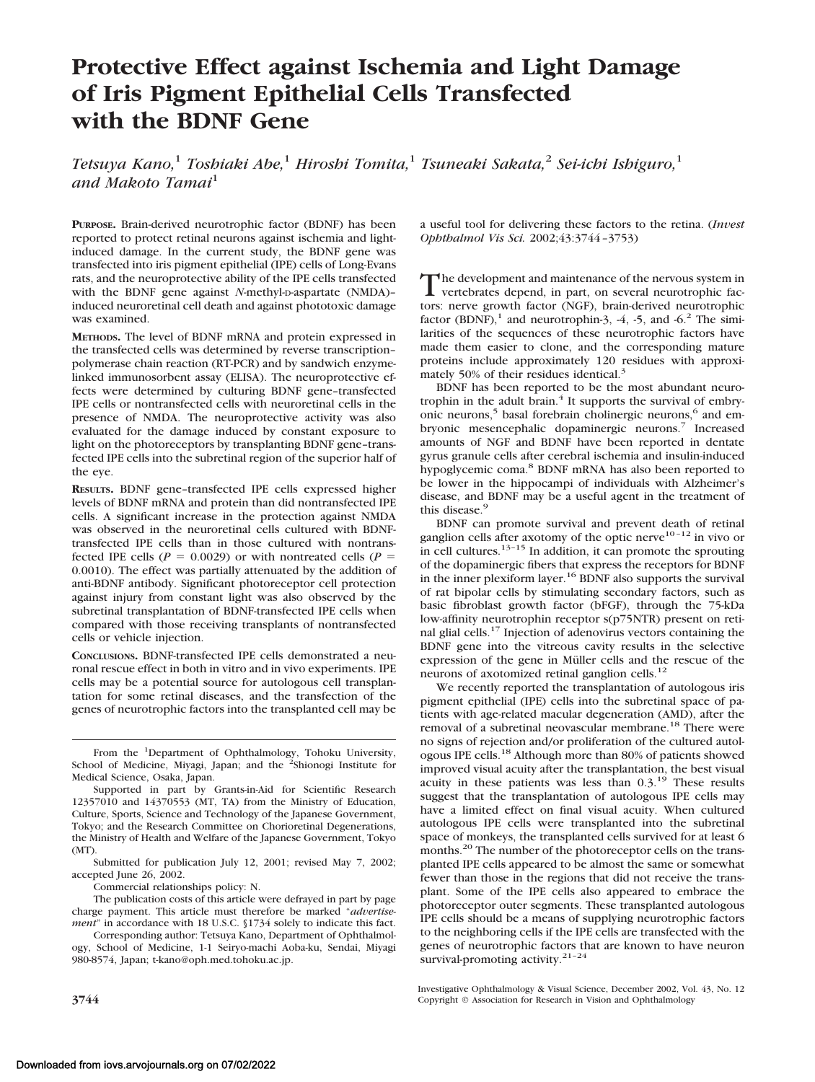# **Protective Effect against Ischemia and Light Damage of Iris Pigment Epithelial Cells Transfected with the BDNF Gene**

*Tetsuya Kano,*<sup>1</sup> *Toshiaki Abe,*<sup>1</sup> *Hiroshi Tomita,*<sup>1</sup> *Tsuneaki Sakata,*<sup>2</sup> *Sei-ichi Ishiguro,*<sup>1</sup> *and Makoto Tamai*<sup>1</sup>

**PURPOSE.** Brain-derived neurotrophic factor (BDNF) has been reported to protect retinal neurons against ischemia and lightinduced damage. In the current study, the BDNF gene was transfected into iris pigment epithelial (IPE) cells of Long-Evans rats, and the neuroprotective ability of the IPE cells transfected with the BDNF gene against *N*-methyl-D-aspartate (NMDA)induced neuroretinal cell death and against phototoxic damage was examined.

**METHODS.** The level of BDNF mRNA and protein expressed in the transfected cells was determined by reverse transcription– polymerase chain reaction (RT-PCR) and by sandwich enzymelinked immunosorbent assay (ELISA). The neuroprotective effects were determined by culturing BDNF gene–transfected IPE cells or nontransfected cells with neuroretinal cells in the presence of NMDA. The neuroprotective activity was also evaluated for the damage induced by constant exposure to light on the photoreceptors by transplanting BDNF gene–transfected IPE cells into the subretinal region of the superior half of the eye.

**RESULTS.** BDNF gene–transfected IPE cells expressed higher levels of BDNF mRNA and protein than did nontransfected IPE cells. A significant increase in the protection against NMDA was observed in the neuroretinal cells cultured with BDNFtransfected IPE cells than in those cultured with nontransfected IPE cells ( $P = 0.0029$ ) or with nontreated cells ( $P =$ 0.0010). The effect was partially attenuated by the addition of anti-BDNF antibody. Significant photoreceptor cell protection against injury from constant light was also observed by the subretinal transplantation of BDNF-transfected IPE cells when compared with those receiving transplants of nontransfected cells or vehicle injection.

**CONCLUSIONS.** BDNF-transfected IPE cells demonstrated a neuronal rescue effect in both in vitro and in vivo experiments. IPE cells may be a potential source for autologous cell transplantation for some retinal diseases, and the transfection of the genes of neurotrophic factors into the transplanted cell may be

Commercial relationships policy: N.

a useful tool for delivering these factors to the retina. (*Invest Ophthalmol Vis Sci.* 2002;43:3744–3753)

The development and maintenance of the nervous system in<br>vertebrates depend, in part, on several neurotrophic factors: nerve growth factor (NGF), brain-derived neurotrophic factor (BDNF),<sup>1</sup> and neurotrophin-3, -4, -5, and -6.<sup>2</sup> The similarities of the sequences of these neurotrophic factors have made them easier to clone, and the corresponding mature proteins include approximately 120 residues with approximately 50% of their residues identical.<sup>3</sup>

BDNF has been reported to be the most abundant neurotrophin in the adult brain.<sup>4</sup> It supports the survival of embryonic neurons,<sup>5</sup> basal forebrain cholinergic neurons,<sup>6</sup> and embryonic mesencephalic dopaminergic neurons.<sup>7</sup> Increased amounts of NGF and BDNF have been reported in dentate gyrus granule cells after cerebral ischemia and insulin-induced hypoglycemic coma.<sup>8</sup> BDNF mRNA has also been reported to be lower in the hippocampi of individuals with Alzheimer's disease, and BDNF may be a useful agent in the treatment of this disease.<sup>9</sup>

BDNF can promote survival and prevent death of retinal ganglion cells after axotomy of the optic nerve<sup>10-12</sup> in vivo or in cell cultures.<sup>13–15</sup> In addition, it can promote the sprouting of the dopaminergic fibers that express the receptors for BDNF in the inner plexiform layer.<sup>16</sup> BDNF also supports the survival of rat bipolar cells by stimulating secondary factors, such as basic fibroblast growth factor (bFGF), through the 75-kDa low-affinity neurotrophin receptor s(p75NTR) present on retinal glial cells.17 Injection of adenovirus vectors containing the BDNF gene into the vitreous cavity results in the selective expression of the gene in Müller cells and the rescue of the neurons of axotomized retinal ganglion cells.<sup>12</sup>

We recently reported the transplantation of autologous iris pigment epithelial (IPE) cells into the subretinal space of patients with age-related macular degeneration (AMD), after the removal of a subretinal neovascular membrane.<sup>18</sup> There were no signs of rejection and/or proliferation of the cultured autologous IPE cells.18 Although more than 80% of patients showed improved visual acuity after the transplantation, the best visual acuity in these patients was less than  $0.3$ .<sup>19</sup> These results suggest that the transplantation of autologous IPE cells may have a limited effect on final visual acuity. When cultured autologous IPE cells were transplanted into the subretinal space of monkeys, the transplanted cells survived for at least 6 months.<sup>20</sup> The number of the photoreceptor cells on the transplanted IPE cells appeared to be almost the same or somewhat fewer than those in the regions that did not receive the transplant. Some of the IPE cells also appeared to embrace the photoreceptor outer segments. These transplanted autologous IPE cells should be a means of supplying neurotrophic factors to the neighboring cells if the IPE cells are transfected with the genes of neurotrophic factors that are known to have neuron survival-promoting activity.<sup>21-24</sup>

From the <sup>1</sup>Department of Ophthalmology, Tohoku University, School of Medicine, Miyagi, Japan; and the <sup>2</sup>Shionogi Institute for Medical Science, Osaka, Japan.

Supported in part by Grants-in-Aid for Scientific Research 12357010 and 14370553 (MT, TA) from the Ministry of Education, Culture, Sports, Science and Technology of the Japanese Government, Tokyo; and the Research Committee on Chorioretinal Degenerations, the Ministry of Health and Welfare of the Japanese Government, Tokyo (MT).

Submitted for publication July 12, 2001; revised May 7, 2002; accepted June 26, 2002.

The publication costs of this article were defrayed in part by page charge payment. This article must therefore be marked "*advertisement*" in accordance with 18 U.S.C. §1734 solely to indicate this fact.

Corresponding author: Tetsuya Kano, Department of Ophthalmology, School of Medicine, 1-1 Seiryo-machi Aoba-ku, Sendai, Miyagi 980-8574, Japan; t-kano@oph.med.tohoku.ac.jp.

Investigative Ophthalmology & Visual Science, December 2002, Vol. 43, No. 12 **3744** Copyright © Association for Research in Vision and Ophthalmology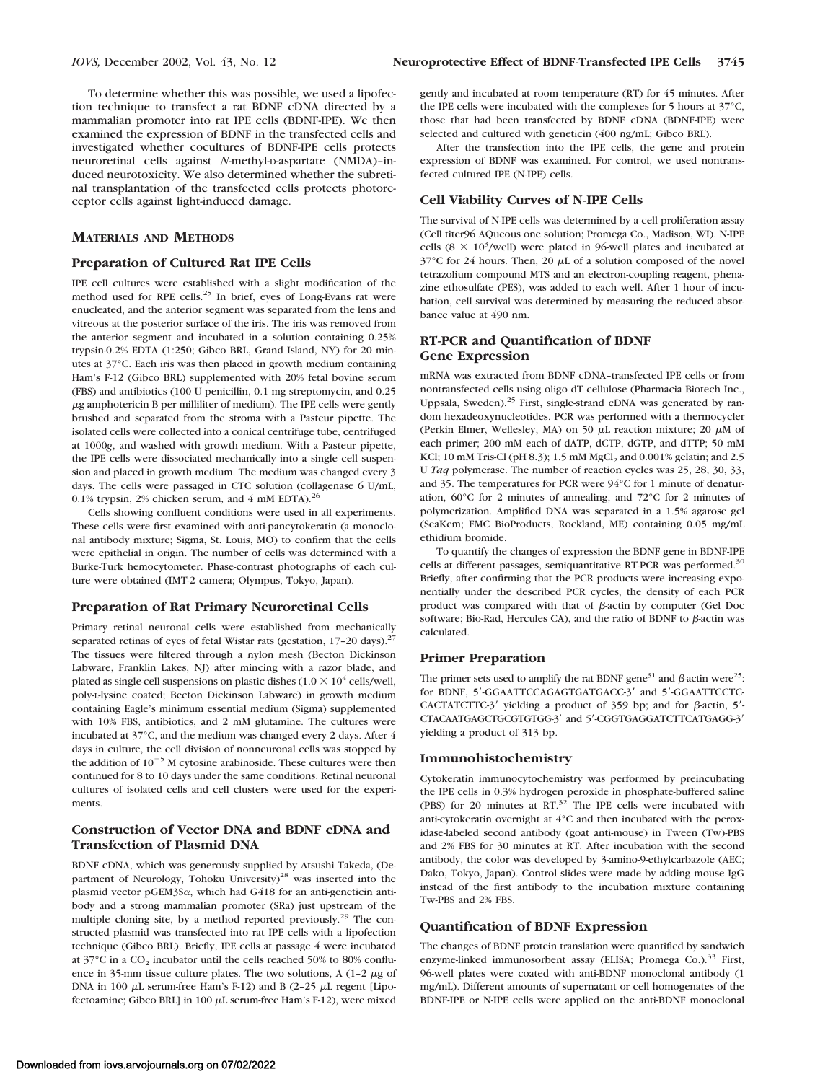To determine whether this was possible, we used a lipofection technique to transfect a rat BDNF cDNA directed by a mammalian promoter into rat IPE cells (BDNF-IPE). We then examined the expression of BDNF in the transfected cells and investigated whether cocultures of BDNF-IPE cells protects neuroretinal cells against *N*-methyl-D-aspartate (NMDA)-induced neurotoxicity. We also determined whether the subretinal transplantation of the transfected cells protects photoreceptor cells against light-induced damage.

#### **MATERIALS AND METHODS**

## **Preparation of Cultured Rat IPE Cells**

IPE cell cultures were established with a slight modification of the method used for RPE cells.<sup>25</sup> In brief, eyes of Long-Evans rat were enucleated, and the anterior segment was separated from the lens and vitreous at the posterior surface of the iris. The iris was removed from the anterior segment and incubated in a solution containing 0.25% trypsin-0.2% EDTA (1:250; Gibco BRL, Grand Island, NY) for 20 minutes at 37°C. Each iris was then placed in growth medium containing Ham's F-12 (Gibco BRL) supplemented with 20% fetal bovine serum (FBS) and antibiotics (100 U penicillin, 0.1 mg streptomycin, and 0.25  $\mu$ g amphotericin B per milliliter of medium). The IPE cells were gently brushed and separated from the stroma with a Pasteur pipette. The isolated cells were collected into a conical centrifuge tube, centrifuged at 1000*g*, and washed with growth medium. With a Pasteur pipette, the IPE cells were dissociated mechanically into a single cell suspension and placed in growth medium. The medium was changed every 3 days. The cells were passaged in CTC solution (collagenase 6 U/mL, 0.1% trypsin, 2% chicken serum, and 4 mM EDTA).<sup>26</sup>

Cells showing confluent conditions were used in all experiments. These cells were first examined with anti-pancytokeratin (a monoclonal antibody mixture; Sigma, St. Louis, MO) to confirm that the cells were epithelial in origin. The number of cells was determined with a Burke-Turk hemocytometer. Phase-contrast photographs of each culture were obtained (IMT-2 camera; Olympus, Tokyo, Japan).

#### **Preparation of Rat Primary Neuroretinal Cells**

Primary retinal neuronal cells were established from mechanically separated retinas of eyes of fetal Wistar rats (gestation, 17-20 days).<sup>27</sup> The tissues were filtered through a nylon mesh (Becton Dickinson Labware, Franklin Lakes, NJ) after mincing with a razor blade, and plated as single-cell suspensions on plastic dishes (1.0  $\times$  10<sup>4</sup> cells/well, poly-L-lysine coated; Becton Dickinson Labware) in growth medium containing Eagle's minimum essential medium (Sigma) supplemented with 10% FBS, antibiotics, and 2 mM glutamine. The cultures were incubated at 37°C, and the medium was changed every 2 days. After 4 days in culture, the cell division of nonneuronal cells was stopped by the addition of  $10^{-5}$  M cytosine arabinoside. These cultures were then continued for 8 to 10 days under the same conditions. Retinal neuronal cultures of isolated cells and cell clusters were used for the experiments.

#### **Construction of Vector DNA and BDNF cDNA and Transfection of Plasmid DNA**

BDNF cDNA, which was generously supplied by Atsushi Takeda, (Department of Neurology, Tohoku University)<sup>28</sup> was inserted into the plasmid vector pGEM3S $\alpha$ , which had G418 for an anti-geneticin antibody and a strong mammalian promoter (SRa) just upstream of the multiple cloning site, by a method reported previously.<sup>29</sup> The constructed plasmid was transfected into rat IPE cells with a lipofection technique (Gibco BRL). Briefly, IPE cells at passage 4 were incubated at  $37^{\circ}$ C in a CO<sub>2</sub> incubator until the cells reached 50% to 80% confluence in 35-mm tissue culture plates. The two solutions, A  $(1-2 \mu g)$  of DNA in 100  $\mu$ L serum-free Ham's F-12) and B (2-25  $\mu$ L regent [Lipofectoamine; Gibco BRL] in 100  $\mu$ L serum-free Ham's F-12), were mixed

gently and incubated at room temperature (RT) for 45 minutes. After the IPE cells were incubated with the complexes for 5 hours at 37°C, those that had been transfected by BDNF cDNA (BDNF-IPE) were selected and cultured with geneticin (400 ng/mL; Gibco BRL).

After the transfection into the IPE cells, the gene and protein expression of BDNF was examined. For control, we used nontransfected cultured IPE (N-IPE) cells.

#### **Cell Viability Curves of N-IPE Cells**

The survival of N-IPE cells was determined by a cell proliferation assay (Cell titer96 AQueous one solution; Promega Co., Madison, WI). N-IPE cells  $(8 \times 10^3/\text{well})$  were plated in 96-well plates and incubated at  $37^{\circ}$ C for 24 hours. Then, 20  $\mu$ L of a solution composed of the novel tetrazolium compound MTS and an electron-coupling reagent, phenazine ethosulfate (PES), was added to each well. After 1 hour of incubation, cell survival was determined by measuring the reduced absorbance value at 490 nm.

#### **RT-PCR and Quantification of BDNF Gene Expression**

mRNA was extracted from BDNF cDNA–transfected IPE cells or from nontransfected cells using oligo dT cellulose (Pharmacia Biotech Inc., Uppsala, Sweden).<sup>25</sup> First, single-strand cDNA was generated by random hexadeoxynucleotides. PCR was performed with a thermocycler (Perkin Elmer, Wellesley, MA) on 50  $\mu$ L reaction mixture; 20  $\mu$ M of each primer; 200 mM each of dATP, dCTP, dGTP, and dTTP; 50 mM KCl; 10 mM Tris-Cl (pH 8.3); 1.5 mM  $MgCl<sub>2</sub>$  and 0.001% gelatin; and 2.5 U *Taq* polymerase. The number of reaction cycles was 25, 28, 30, 33, and 35. The temperatures for PCR were 94°C for 1 minute of denaturation, 60°C for 2 minutes of annealing, and 72°C for 2 minutes of polymerization. Amplified DNA was separated in a 1.5% agarose gel (SeaKem; FMC BioProducts, Rockland, ME) containing 0.05 mg/mL ethidium bromide.

To quantify the changes of expression the BDNF gene in BDNF-IPE cells at different passages, semiquantitative RT-PCR was performed.<sup>30</sup> Briefly, after confirming that the PCR products were increasing exponentially under the described PCR cycles, the density of each PCR product was compared with that of  $\beta$ -actin by computer (Gel Doc software; Bio-Rad, Hercules CA), and the ratio of BDNF to  $\beta$ -actin was calculated.

#### **Primer Preparation**

The primer sets used to amplify the rat BDNF gene<sup>31</sup> and  $\beta$ -actin were<sup>25</sup>: for BDNF, 5'-GGAATTCCAGAGTGATGACC-3' and 5'-GGAATTCCTC-CACTATCTTC-3' yielding a product of 359 bp; and for  $\beta$ -actin, 5'-CTACAATGAGCTGCGTGTGG-3' and 5'-CGGTGAGGATCTTCATGAGG-3' yielding a product of 313 bp.

#### **Immunohistochemistry**

Cytokeratin immunocytochemistry was performed by preincubating the IPE cells in 0.3% hydrogen peroxide in phosphate-buffered saline (PBS) for 20 minutes at RT.<sup>32</sup> The IPE cells were incubated with anti-cytokeratin overnight at 4°C and then incubated with the peroxidase-labeled second antibody (goat anti-mouse) in Tween (Tw)-PBS and 2% FBS for 30 minutes at RT. After incubation with the second antibody, the color was developed by 3-amino-9-ethylcarbazole (AEC; Dako, Tokyo, Japan). Control slides were made by adding mouse IgG instead of the first antibody to the incubation mixture containing Tw-PBS and 2% FBS.

#### **Quantification of BDNF Expression**

The changes of BDNF protein translation were quantified by sandwich enzyme-linked immunosorbent assay (ELISA; Promega Co.).<sup>33</sup> First, 96-well plates were coated with anti-BDNF monoclonal antibody (1 mg/mL). Different amounts of supernatant or cell homogenates of the BDNF-IPE or N-IPE cells were applied on the anti-BDNF monoclonal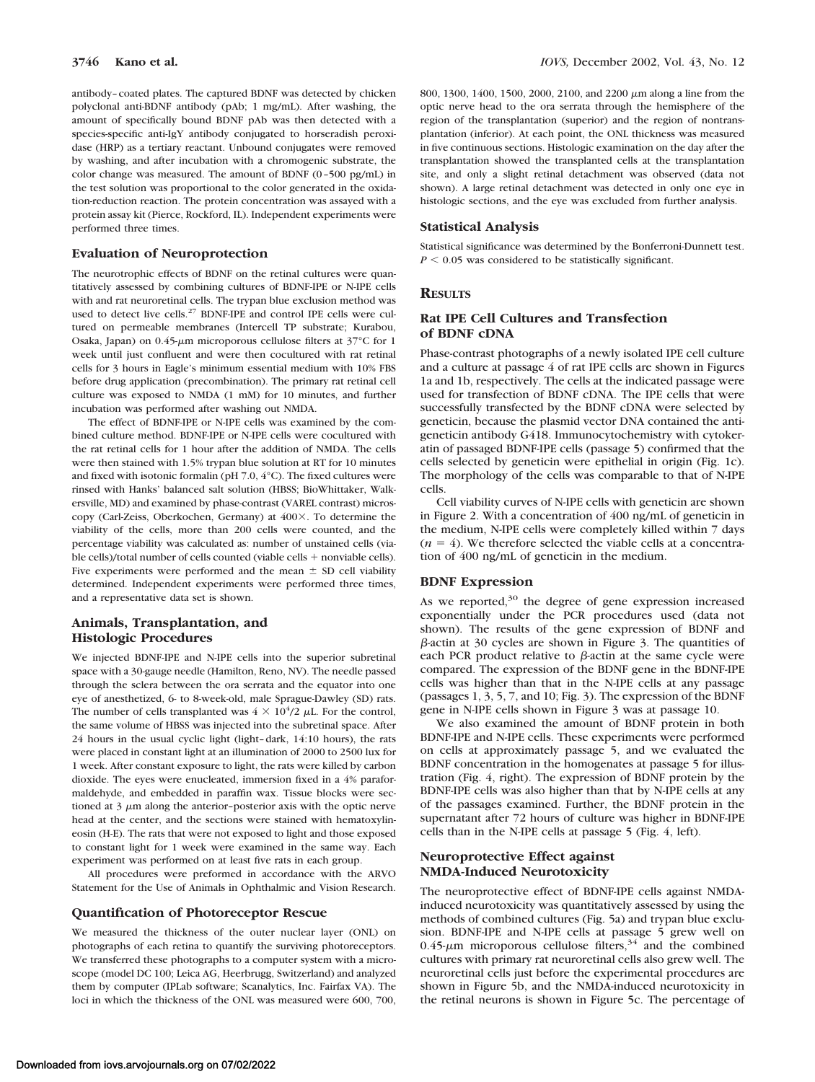antibody–coated plates. The captured BDNF was detected by chicken polyclonal anti-BDNF antibody (pAb; 1 mg/mL). After washing, the amount of specifically bound BDNF pAb was then detected with a species-specific anti-IgY antibody conjugated to horseradish peroxidase (HRP) as a tertiary reactant. Unbound conjugates were removed by washing, and after incubation with a chromogenic substrate, the color change was measured. The amount of BDNF (0–500 pg/mL) in the test solution was proportional to the color generated in the oxidation-reduction reaction. The protein concentration was assayed with a protein assay kit (Pierce, Rockford, IL). Independent experiments were performed three times.

#### **Evaluation of Neuroprotection**

The neurotrophic effects of BDNF on the retinal cultures were quantitatively assessed by combining cultures of BDNF-IPE or N-IPE cells with and rat neuroretinal cells. The trypan blue exclusion method was used to detect live cells.<sup>27</sup> BDNF-IPE and control IPE cells were cultured on permeable membranes (Intercell TP substrate; Kurabou, Osaka, Japan) on  $0.45$ - $\mu$ m microporous cellulose filters at  $37^{\circ}$ C for 1 week until just confluent and were then cocultured with rat retinal cells for 3 hours in Eagle's minimum essential medium with 10% FBS before drug application (precombination). The primary rat retinal cell culture was exposed to NMDA (1 mM) for 10 minutes, and further incubation was performed after washing out NMDA.

The effect of BDNF-IPE or N-IPE cells was examined by the combined culture method. BDNF-IPE or N-IPE cells were cocultured with the rat retinal cells for 1 hour after the addition of NMDA. The cells were then stained with 1.5% trypan blue solution at RT for 10 minutes and fixed with isotonic formalin (pH 7.0, 4°C). The fixed cultures were rinsed with Hanks' balanced salt solution (HBSS; BioWhittaker, Walkersville, MD) and examined by phase-contrast (VAREL contrast) microscopy (Carl-Zeiss, Oberkochen, Germany) at 400X. To determine the viability of the cells, more than 200 cells were counted, and the percentage viability was calculated as: number of unstained cells (viable cells)/total number of cells counted (viable cells  $+$  nonviable cells). Five experiments were performed and the mean  $\pm$  SD cell viability determined. Independent experiments were performed three times, and a representative data set is shown.

#### **Animals, Transplantation, and Histologic Procedures**

We injected BDNF-IPE and N-IPE cells into the superior subretinal space with a 30-gauge needle (Hamilton, Reno, NV). The needle passed through the sclera between the ora serrata and the equator into one eye of anesthetized, 6- to 8-week-old, male Sprague-Dawley (SD) rats. The number of cells transplanted was  $4 \times 10^4/2$   $\mu$ L. For the control, the same volume of HBSS was injected into the subretinal space. After 24 hours in the usual cyclic light (light–dark, 14:10 hours), the rats were placed in constant light at an illumination of 2000 to 2500 lux for 1 week. After constant exposure to light, the rats were killed by carbon dioxide. The eyes were enucleated, immersion fixed in a 4% paraformaldehyde, and embedded in paraffin wax. Tissue blocks were sectioned at  $3 \mu$ m along the anterior-posterior axis with the optic nerve head at the center, and the sections were stained with hematoxylineosin (H-E). The rats that were not exposed to light and those exposed to constant light for 1 week were examined in the same way. Each experiment was performed on at least five rats in each group.

All procedures were preformed in accordance with the ARVO Statement for the Use of Animals in Ophthalmic and Vision Research.

#### **Quantification of Photoreceptor Rescue**

We measured the thickness of the outer nuclear layer (ONL) on photographs of each retina to quantify the surviving photoreceptors. We transferred these photographs to a computer system with a microscope (model DC 100; Leica AG, Heerbrugg, Switzerland) and analyzed them by computer (IPLab software; Scanalytics, Inc. Fairfax VA). The loci in which the thickness of the ONL was measured were 600, 700, 800, 1300, 1400, 1500, 2000, 2100, and 2200  $\mu$ m along a line from the optic nerve head to the ora serrata through the hemisphere of the region of the transplantation (superior) and the region of nontransplantation (inferior). At each point, the ONL thickness was measured in five continuous sections. Histologic examination on the day after the transplantation showed the transplanted cells at the transplantation site, and only a slight retinal detachment was observed (data not shown). A large retinal detachment was detected in only one eye in histologic sections, and the eye was excluded from further analysis.

#### **Statistical Analysis**

Statistical significance was determined by the Bonferroni-Dunnett test.  $P < 0.05$  was considered to be statistically significant.

#### **RESULTS**

### **Rat IPE Cell Cultures and Transfection of BDNF cDNA**

Phase-contrast photographs of a newly isolated IPE cell culture and a culture at passage 4 of rat IPE cells are shown in Figures 1a and 1b, respectively. The cells at the indicated passage were used for transfection of BDNF cDNA. The IPE cells that were successfully transfected by the BDNF cDNA were selected by geneticin, because the plasmid vector DNA contained the antigeneticin antibody G418. Immunocytochemistry with cytokeratin of passaged BDNF-IPE cells (passage 5) confirmed that the cells selected by geneticin were epithelial in origin (Fig. 1c). The morphology of the cells was comparable to that of N-IPE cells.

Cell viability curves of N-IPE cells with geneticin are shown in Figure 2. With a concentration of 400 ng/mL of geneticin in the medium, N-IPE cells were completely killed within 7 days  $(n = 4)$ . We therefore selected the viable cells at a concentration of 400 ng/mL of geneticin in the medium.

#### **BDNF Expression**

As we reported, $30$  the degree of gene expression increased exponentially under the PCR procedures used (data not shown). The results of the gene expression of BDNF and  $\beta$ -actin at 30 cycles are shown in Figure 3. The quantities of each PCR product relative to  $\beta$ -actin at the same cycle were compared. The expression of the BDNF gene in the BDNF-IPE cells was higher than that in the N-IPE cells at any passage (passages 1, 3, 5, 7, and 10; Fig. 3). The expression of the BDNF gene in N-IPE cells shown in Figure 3 was at passage 10.

We also examined the amount of BDNF protein in both BDNF-IPE and N-IPE cells. These experiments were performed on cells at approximately passage 5, and we evaluated the BDNF concentration in the homogenates at passage 5 for illustration (Fig. 4, right). The expression of BDNF protein by the BDNF-IPE cells was also higher than that by N-IPE cells at any of the passages examined. Further, the BDNF protein in the supernatant after 72 hours of culture was higher in BDNF-IPE cells than in the N-IPE cells at passage 5 (Fig. 4, left).

#### **Neuroprotective Effect against NMDA-Induced Neurotoxicity**

The neuroprotective effect of BDNF-IPE cells against NMDAinduced neurotoxicity was quantitatively assessed by using the methods of combined cultures (Fig. 5a) and trypan blue exclusion. BDNF-IPE and N-IPE cells at passage 5 grew well on 0.45- $\mu$ m microporous cellulose filters,<sup>34</sup> and the combined cultures with primary rat neuroretinal cells also grew well. The neuroretinal cells just before the experimental procedures are shown in Figure 5b, and the NMDA-induced neurotoxicity in the retinal neurons is shown in Figure 5c. The percentage of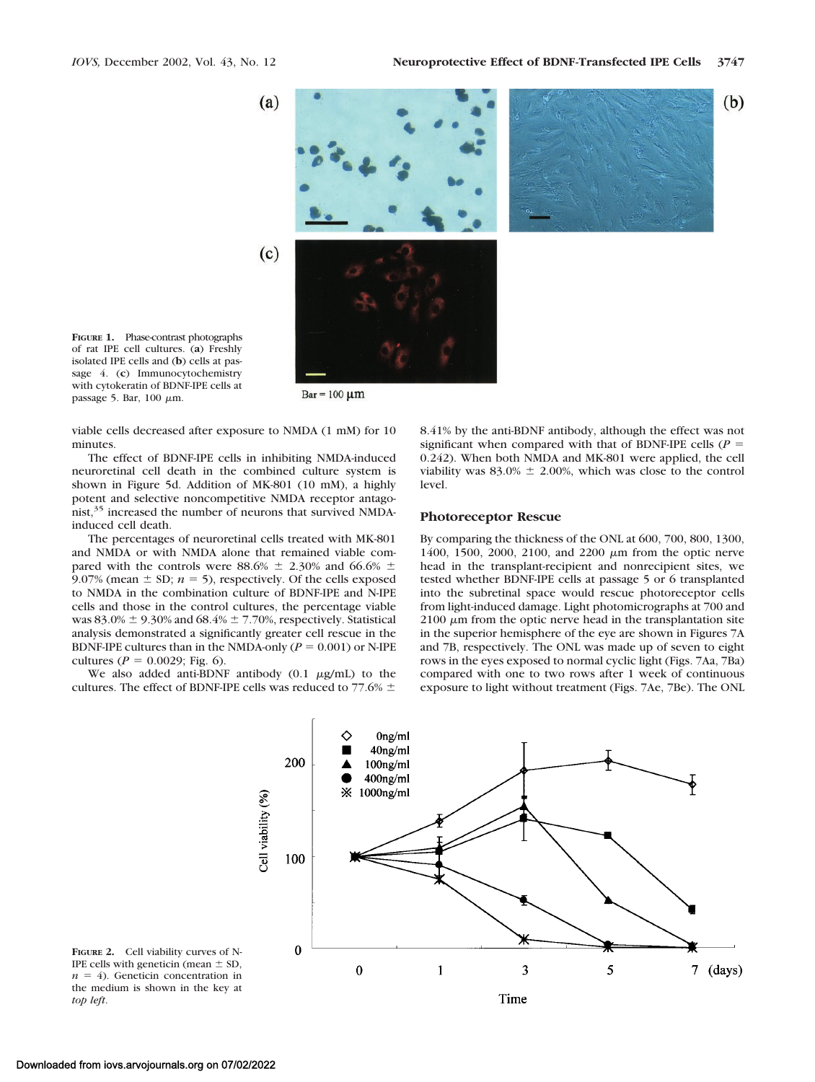

of rat IPE cell cultures. (**a**) Freshly isolated IPE cells and (**b**) cells at passage 4. (**c**) Immunocytochemistry with cytokeratin of BDNF-IPE cells at passage 5. Bar,  $100 \mu m$ .

**FIGURE 1.** Phase-contrast photographs

 $Bar = 100 \mu m$ 

viable cells decreased after exposure to NMDA (1 mM) for 10 minutes.

The effect of BDNF-IPE cells in inhibiting NMDA-induced neuroretinal cell death in the combined culture system is shown in Figure 5d. Addition of MK-801 (10 mM), a highly potent and selective noncompetitive NMDA receptor antagonist,<sup>35</sup> increased the number of neurons that survived NMDAinduced cell death.

The percentages of neuroretinal cells treated with MK-801 and NMDA or with NMDA alone that remained viable compared with the controls were 88.6%  $\pm$  2.30% and 66.6%  $\pm$ 9.07% (mean  $\pm$  SD;  $n = 5$ ), respectively. Of the cells exposed to NMDA in the combination culture of BDNF-IPE and N-IPE cells and those in the control cultures, the percentage viable was  $83.0\% \pm 9.30\%$  and  $68.4\% \pm 7.70\%$ , respectively. Statistical analysis demonstrated a significantly greater cell rescue in the BDNF-IPE cultures than in the NMDA-only  $(P = 0.001)$  or N-IPE cultures ( $P = 0.0029$ ; Fig. 6).

We also added anti-BDNF antibody  $(0.1 \mu g/mL)$  to the cultures. The effect of BDNF-IPE cells was reduced to 77.6%  $\pm$ 

8.41% by the anti-BDNF antibody, although the effect was not significant when compared with that of BDNF-IPE cells ( $P =$ 0.242). When both NMDA and MK-801 were applied, the cell viability was  $83.0\% \pm 2.00\%$ , which was close to the control level.

#### **Photoreceptor Rescue**

By comparing the thickness of the ONL at 600, 700, 800, 1300, 1400, 1500, 2000, 2100, and 2200  $\mu$ m from the optic nerve head in the transplant-recipient and nonrecipient sites, we tested whether BDNF-IPE cells at passage 5 or 6 transplanted into the subretinal space would rescue photoreceptor cells from light-induced damage. Light photomicrographs at 700 and  $2100 \mu m$  from the optic nerve head in the transplantation site in the superior hemisphere of the eye are shown in Figures 7A and 7B, respectively. The ONL was made up of seven to eight rows in the eyes exposed to normal cyclic light (Figs. 7Aa, 7Ba) compared with one to two rows after 1 week of continuous exposure to light without treatment (Figs. 7Ae, 7Be). The ONL



**FIGURE 2.** Cell viability curves of N-IPE cells with geneticin (mean  $\pm$  SD,  $n = 4$ ). Geneticin concentration in the medium is shown in the key at *top left*.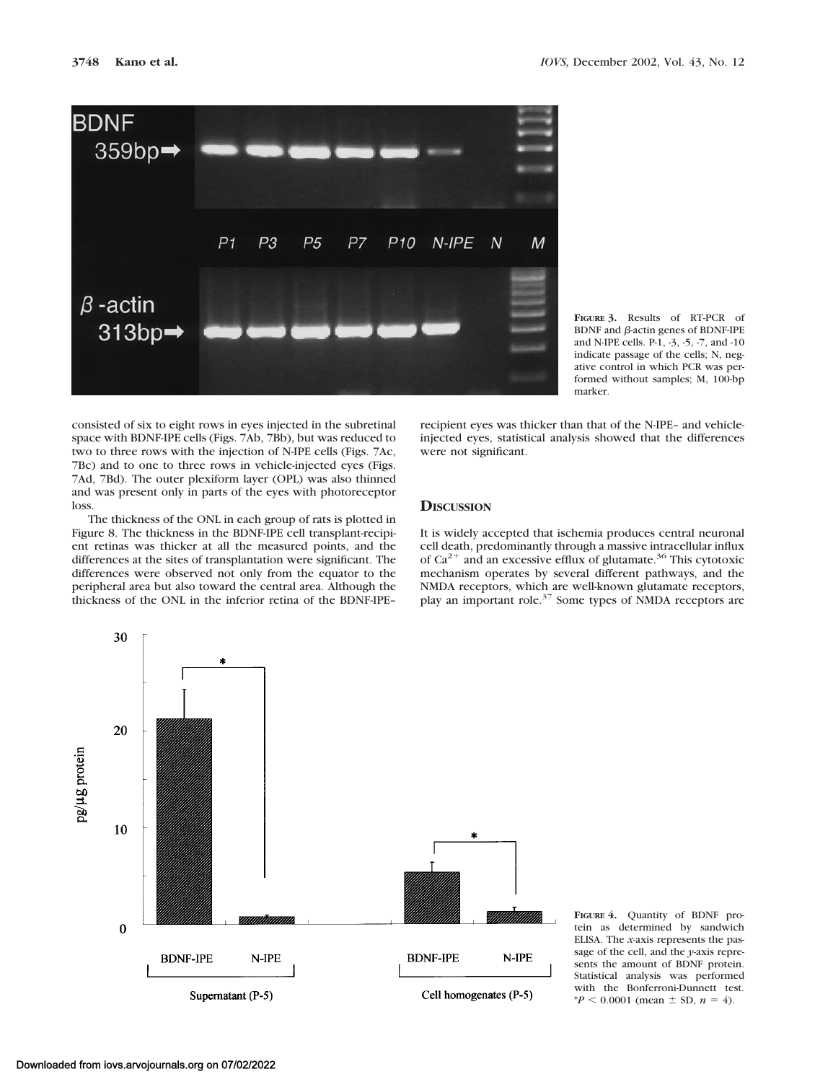

**FIGURE 3.** Results of RT-PCR of BDNF and  $\beta$ -actin genes of BDNF-IPE and N-IPE cells. P-1, -3, -5, -7, and -10 indicate passage of the cells; N, negative control in which PCR was performed without samples; M, 100-bp marker.

consisted of six to eight rows in eyes injected in the subretinal space with BDNF-IPE cells (Figs. 7Ab, 7Bb), but was reduced to two to three rows with the injection of N-IPE cells (Figs. 7Ac, 7Bc) and to one to three rows in vehicle-injected eyes (Figs. 7Ad, 7Bd). The outer plexiform layer (OPL) was also thinned and was present only in parts of the eyes with photoreceptor loss.

The thickness of the ONL in each group of rats is plotted in Figure 8. The thickness in the BDNF-IPE cell transplant-recipient retinas was thicker at all the measured points, and the differences at the sites of transplantation were significant. The differences were observed not only from the equator to the peripheral area but also toward the central area. Although the thickness of the ONL in the inferior retina of the BDNF-IPE– recipient eyes was thicker than that of the N-IPE– and vehicleinjected eyes, statistical analysis showed that the differences were not significant.

# **DISCUSSION**

It is widely accepted that ischemia produces central neuronal cell death, predominantly through a massive intracellular influx of  $Ca^{2+}$  and an excessive efflux of glutamate.<sup>36</sup> This cytotoxic mechanism operates by several different pathways, and the NMDA receptors, which are well-known glutamate receptors, play an important role. $37$  Some types of NMDA receptors are



**FIGURE 4.** Quantity of BDNF protein as determined by sandwich ELISA. The *x*-axis represents the passage of the cell, and the *y*-axis represents the amount of BDNF protein. Statistical analysis was performed with the Bonferroni-Dunnett test.  $*P < 0.0001$  (mean  $\pm$  SD,  $n = 4$ ).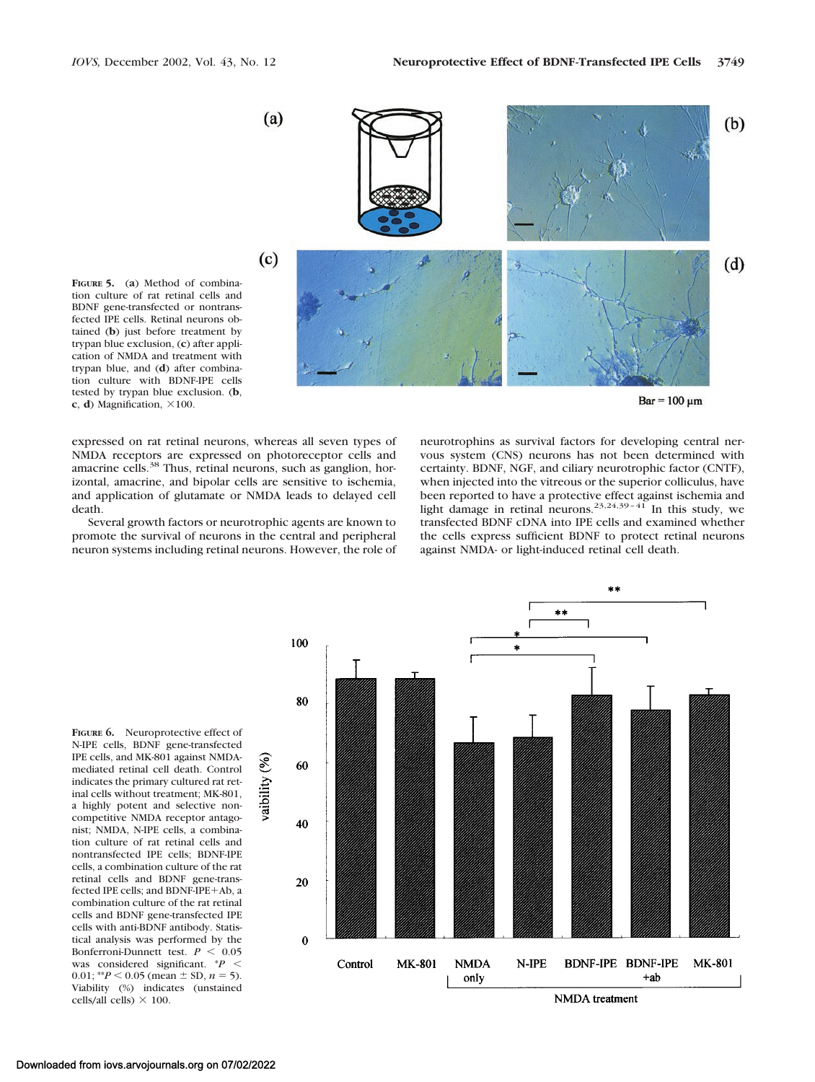

 $Bar = 100 \mu m$ 

**FIGURE 5.** (**a**) Method of combination culture of rat retinal cells and BDNF gene-transfected or nontransfected IPE cells. Retinal neurons obtained (**b**) just before treatment by trypan blue exclusion, (**c**) after application of NMDA and treatment with trypan blue, and (**d**) after combination culture with BDNF-IPE cells tested by trypan blue exclusion. (**b**,  $c$ , **d**) Magnification,  $\times$ 100.

expressed on rat retinal neurons, whereas all seven types of NMDA receptors are expressed on photoreceptor cells and amacrine cells.38 Thus, retinal neurons, such as ganglion, horizontal, amacrine, and bipolar cells are sensitive to ischemia, and application of glutamate or NMDA leads to delayed cell death.

Several growth factors or neurotrophic agents are known to promote the survival of neurons in the central and peripheral neuron systems including retinal neurons. However, the role of neurotrophins as survival factors for developing central nervous system (CNS) neurons has not been determined with certainty. BDNF, NGF, and ciliary neurotrophic factor (CNTF), when injected into the vitreous or the superior colliculus, have been reported to have a protective effect against ischemia and<br>light damage in retinal neurons.<sup>23,24,39-41</sup> In this study, we transfected BDNF cDNA into IPE cells and examined whether the cells express sufficient BDNF to protect retinal neurons against NMDA- or light-induced retinal cell death.

 $***$ 

**FIGURE 6.** Neuroprotective effect of N-IPE cells, BDNF gene-transfected IPE cells, and MK-801 against NMDAmediated retinal cell death. Control indicates the primary cultured rat retinal cells without treatment; MK-801, a highly potent and selective noncompetitive NMDA receptor antagonist; NMDA, N-IPE cells, a combination culture of rat retinal cells and nontransfected IPE cells; BDNF-IPE cells, a combination culture of the rat retinal cells and BDNF gene-transfected IPE cells; and BDNF-IPE+Ab, a combination culture of the rat retinal cells and BDNF gene-transfected IPE cells with anti-BDNF antibody. Statistical analysis was performed by the Bonferroni-Dunnett test.  $P < 0.05$ was considered significant. \**P* 0.01;  $*P < 0.05$  (mean  $\pm$  SD,  $n = 5$ ). Viability (%) indicates (unstained cells/all cells)  $\times$  100.

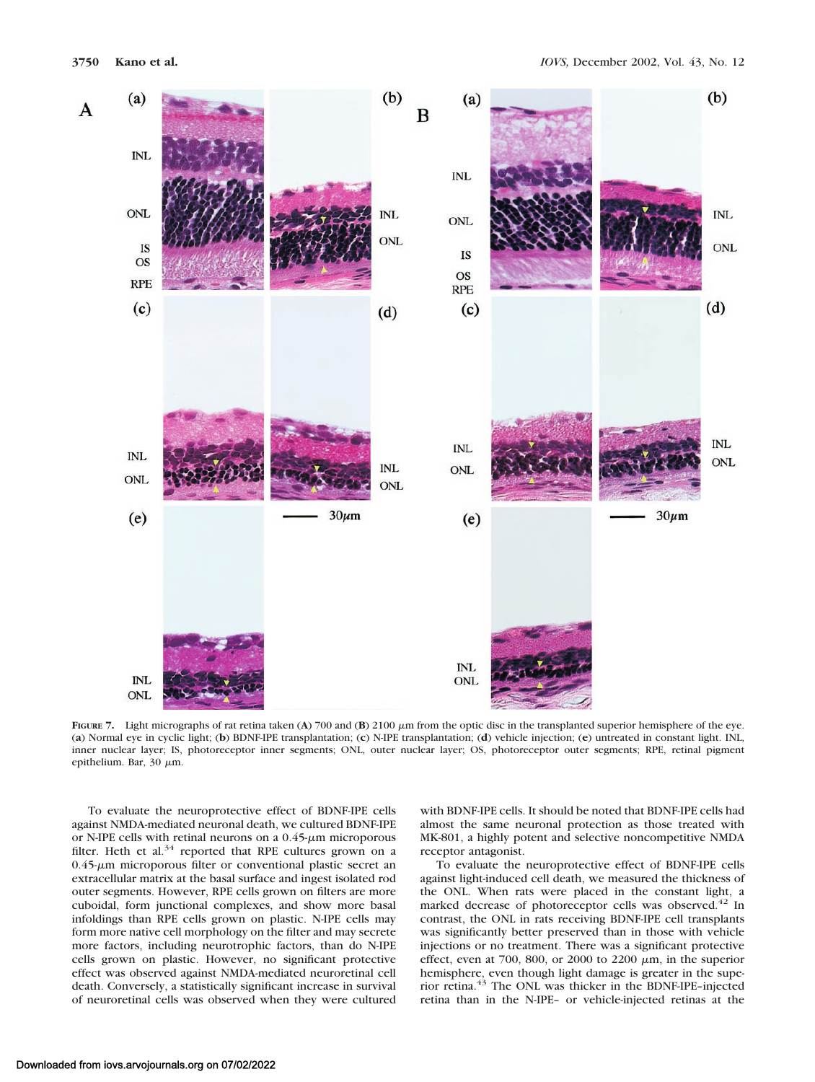

FIGURE 7. Light micrographs of rat retina taken (A) 700 and (B) 2100  $\mu$ m from the optic disc in the transplanted superior hemisphere of the eye. (**a**) Normal eye in cyclic light; (**b**) BDNF-IPE transplantation; (**c**) N-IPE transplantation; (**d**) vehicle injection; (**e**) untreated in constant light. INL, inner nuclear layer; IS, photoreceptor inner segments; ONL, outer nuclear layer; OS, photoreceptor outer segments; RPE, retinal pigment epithelium. Bar, 30  $\mu$ m.

To evaluate the neuroprotective effect of BDNF-IPE cells against NMDA-mediated neuronal death, we cultured BDNF-IPE or N-IPE cells with retinal neurons on a  $0.45$ - $\mu$ m microporous filter. Heth et al. $34$  reported that RPE cultures grown on a  $0.45$ - $\mu$ m microporous filter or conventional plastic secret an extracellular matrix at the basal surface and ingest isolated rod outer segments. However, RPE cells grown on filters are more cuboidal, form junctional complexes, and show more basal infoldings than RPE cells grown on plastic. N-IPE cells may form more native cell morphology on the filter and may secrete more factors, including neurotrophic factors, than do N-IPE cells grown on plastic. However, no significant protective effect was observed against NMDA-mediated neuroretinal cell death. Conversely, a statistically significant increase in survival of neuroretinal cells was observed when they were cultured

with BDNF-IPE cells. It should be noted that BDNF-IPE cells had almost the same neuronal protection as those treated with MK-801, a highly potent and selective noncompetitive NMDA receptor antagonist.

To evaluate the neuroprotective effect of BDNF-IPE cells against light-induced cell death, we measured the thickness of the ONL. When rats were placed in the constant light, a marked decrease of photoreceptor cells was observed.<sup>42</sup> In contrast, the ONL in rats receiving BDNF-IPE cell transplants was significantly better preserved than in those with vehicle injections or no treatment. There was a significant protective effect, even at 700, 800, or 2000 to 2200  $\mu$ m, in the superior hemisphere, even though light damage is greater in the superior retina.43 The ONL was thicker in the BDNF-IPE–injected retina than in the N-IPE– or vehicle-injected retinas at the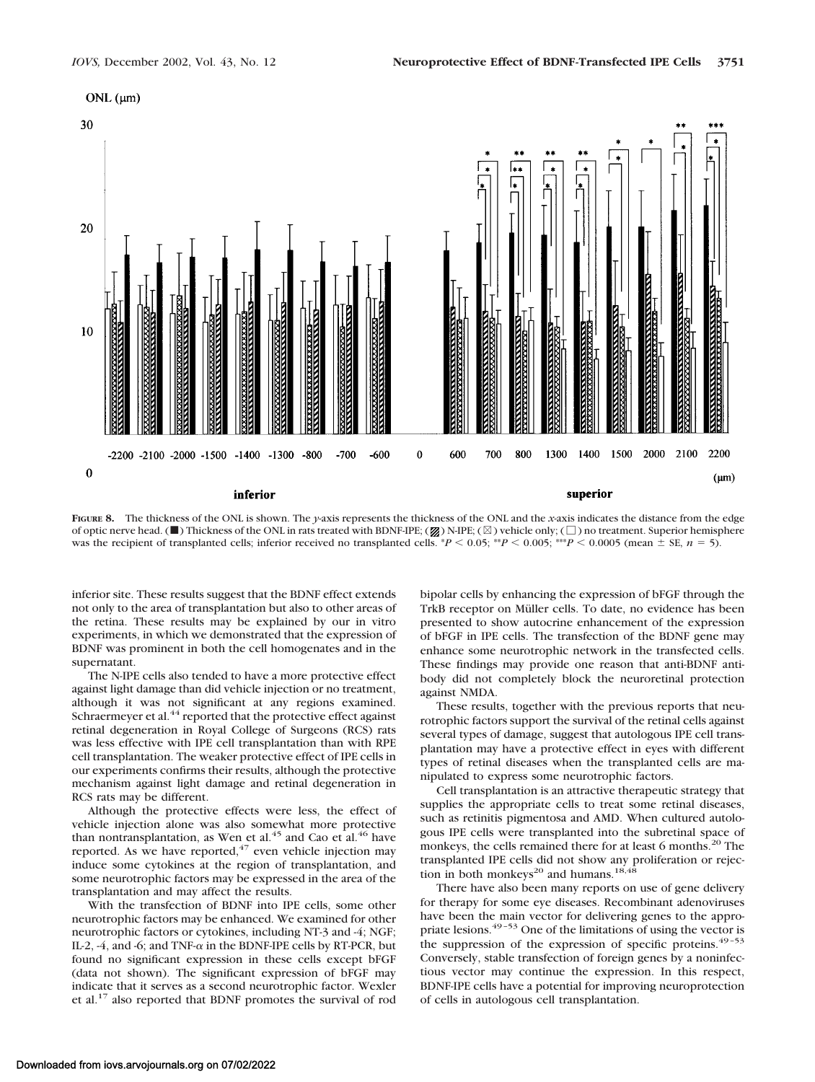# $ONL$  ( $\mu$ m)



**FIGURE 8.** The thickness of the ONL is shown. The *y*-axis represents the thickness of the ONL and the *x*-axis indicates the distance from the edge of optic nerve head. ( $\blacksquare$ ) Thickness of the ONL in rats treated with BDNF-IPE; ( $\boxtimes$ ) N-IPE; ( $\boxtimes$ ) vehicle only; ( $\Box$ ) no treatment. Superior hemisphere was the recipient of transplanted cells; inferior received no transplanted cells.  $*P < 0.05$ ;  $*P < 0.005$ ;  $*P < 0.0005$  (mean  $\pm$  SE, *n* = 5).

inferior site. These results suggest that the BDNF effect extends not only to the area of transplantation but also to other areas of the retina. These results may be explained by our in vitro experiments, in which we demonstrated that the expression of BDNF was prominent in both the cell homogenates and in the supernatant.

The N-IPE cells also tended to have a more protective effect against light damage than did vehicle injection or no treatment, although it was not significant at any regions examined. Schraermeyer et al.<sup>44</sup> reported that the protective effect against retinal degeneration in Royal College of Surgeons (RCS) rats was less effective with IPE cell transplantation than with RPE cell transplantation. The weaker protective effect of IPE cells in our experiments confirms their results, although the protective mechanism against light damage and retinal degeneration in RCS rats may be different.

Although the protective effects were less, the effect of vehicle injection alone was also somewhat more protective than nontransplantation, as Wen et al.<sup>45</sup> and Cao et al.<sup>46</sup> have reported. As we have reported, $47$  even vehicle injection may induce some cytokines at the region of transplantation, and some neurotrophic factors may be expressed in the area of the transplantation and may affect the results.

With the transfection of BDNF into IPE cells, some other neurotrophic factors may be enhanced. We examined for other neurotrophic factors or cytokines, including NT-3 and -4; NGF; IL-2, -4, and -6; and TNF- $\alpha$  in the BDNF-IPE cells by RT-PCR, but found no significant expression in these cells except bFGF (data not shown). The significant expression of bFGF may indicate that it serves as a second neurotrophic factor. Wexler et al.17 also reported that BDNF promotes the survival of rod

bipolar cells by enhancing the expression of bFGF through the TrkB receptor on Müller cells. To date, no evidence has been presented to show autocrine enhancement of the expression of bFGF in IPE cells. The transfection of the BDNF gene may enhance some neurotrophic network in the transfected cells. These findings may provide one reason that anti-BDNF antibody did not completely block the neuroretinal protection against NMDA.

These results, together with the previous reports that neurotrophic factors support the survival of the retinal cells against several types of damage, suggest that autologous IPE cell transplantation may have a protective effect in eyes with different types of retinal diseases when the transplanted cells are manipulated to express some neurotrophic factors.

Cell transplantation is an attractive therapeutic strategy that supplies the appropriate cells to treat some retinal diseases, such as retinitis pigmentosa and AMD. When cultured autologous IPE cells were transplanted into the subretinal space of monkeys, the cells remained there for at least 6 months.<sup>20</sup> The transplanted IPE cells did not show any proliferation or rejection in both monkeys<sup>20</sup> and humans.<sup>18,48</sup>

There have also been many reports on use of gene delivery for therapy for some eye diseases. Recombinant adenoviruses have been the main vector for delivering genes to the appropriate lesions.<sup>49-53</sup> One of the limitations of using the vector is the suppression of the expression of specific proteins.<sup>49-53</sup> Conversely, stable transfection of foreign genes by a noninfectious vector may continue the expression. In this respect, BDNF-IPE cells have a potential for improving neuroprotection of cells in autologous cell transplantation.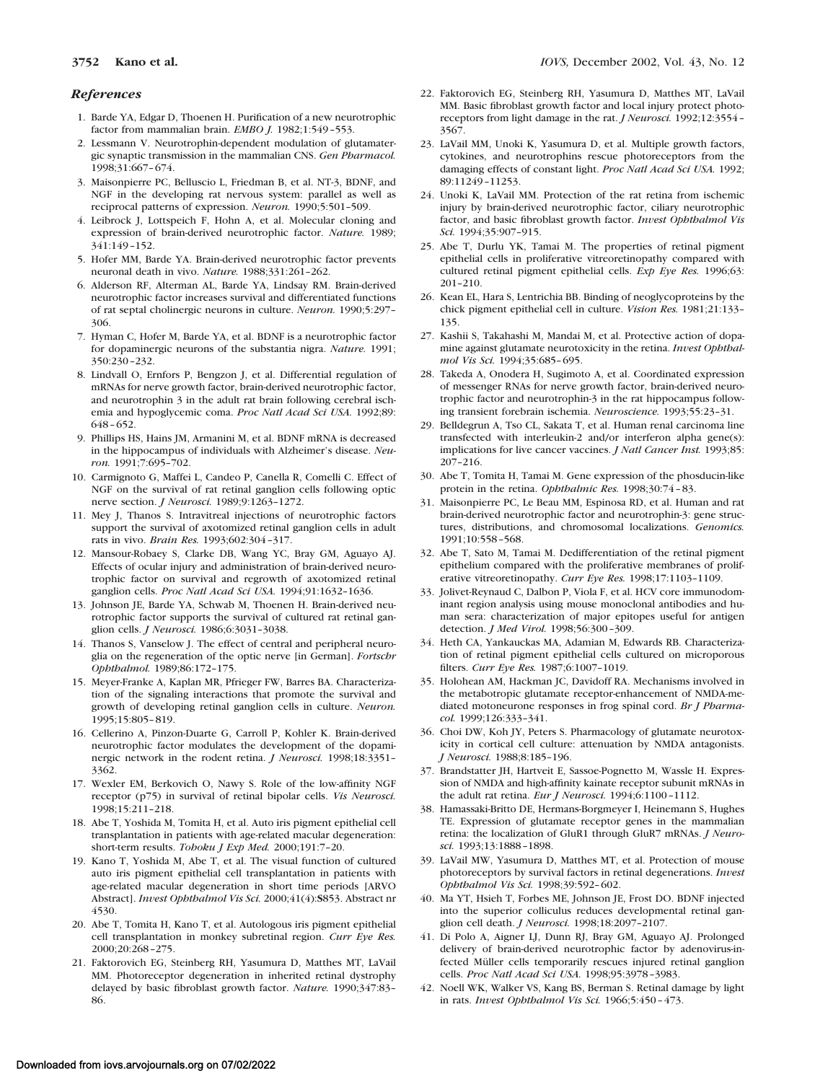#### *References*

- 1. Barde YA, Edgar D, Thoenen H. Purification of a new neurotrophic factor from mammalian brain. *EMBO J.* 1982;1:549–553.
- 2. Lessmann V. Neurotrophin-dependent modulation of glutamatergic synaptic transmission in the mammalian CNS. *Gen Pharmacol.* 1998;31:667–674.
- 3. Maisonpierre PC, Belluscio L, Friedman B, et al. NT-3, BDNF, and NGF in the developing rat nervous system: parallel as well as reciprocal patterns of expression. *Neuron.* 1990;5:501–509.
- 4. Leibrock J, Lottspeich F, Hohn A, et al. Molecular cloning and expression of brain-derived neurotrophic factor. *Nature.* 1989; 341:149–152.
- 5. Hofer MM, Barde YA. Brain-derived neurotrophic factor prevents neuronal death in vivo. *Nature.* 1988;331:261–262.
- 6. Alderson RF, Alterman AL, Barde YA, Lindsay RM. Brain-derived neurotrophic factor increases survival and differentiated functions of rat septal cholinergic neurons in culture. *Neuron.* 1990;5:297– 306.
- 7. Hyman C, Hofer M, Barde YA, et al. BDNF is a neurotrophic factor for dopaminergic neurons of the substantia nigra. *Nature.* 1991; 350:230–232.
- 8. Lindvall O, Ernfors P, Bengzon J, et al. Differential regulation of mRNAs for nerve growth factor, brain-derived neurotrophic factor, and neurotrophin 3 in the adult rat brain following cerebral ischemia and hypoglycemic coma. *Proc Natl Acad Sci USA.* 1992;89: 648–652.
- 9. Phillips HS, Hains JM, Armanini M, et al. BDNF mRNA is decreased in the hippocampus of individuals with Alzheimer's disease. *Neuron.* 1991;7:695–702.
- 10. Carmignoto G, Maffei L, Candeo P, Canella R, Comelli C. Effect of NGF on the survival of rat retinal ganglion cells following optic nerve section. *J Neurosci.* 1989;9:1263–1272.
- 11. Mey J, Thanos S. Intravitreal injections of neurotrophic factors support the survival of axotomized retinal ganglion cells in adult rats in vivo. *Brain Res.* 1993;602:304–317.
- 12. Mansour-Robaey S, Clarke DB, Wang YC, Bray GM, Aguayo AJ. Effects of ocular injury and administration of brain-derived neurotrophic factor on survival and regrowth of axotomized retinal ganglion cells. *Proc Natl Acad Sci USA.* 1994;91:1632–1636.
- 13. Johnson JE, Barde YA, Schwab M, Thoenen H. Brain-derived neurotrophic factor supports the survival of cultured rat retinal ganglion cells. *J Neurosci.* 1986;6:3031–3038.
- 14. Thanos S, Vanselow J. The effect of central and peripheral neuroglia on the regeneration of the optic nerve [in German]. *Fortschr Ophthalmol.* 1989;86:172–175.
- 15. Meyer-Franke A, Kaplan MR, Pfrieger FW, Barres BA. Characterization of the signaling interactions that promote the survival and growth of developing retinal ganglion cells in culture. *Neuron.* 1995;15:805–819.
- 16. Cellerino A, Pinzon-Duarte G, Carroll P, Kohler K. Brain-derived neurotrophic factor modulates the development of the dopaminergic network in the rodent retina. *J Neurosci.* 1998;18:3351– 3362.
- 17. Wexler EM, Berkovich O, Nawy S. Role of the low-affinity NGF receptor (p75) in survival of retinal bipolar cells. *Vis Neurosci.* 1998;15:211–218.
- 18. Abe T, Yoshida M, Tomita H, et al. Auto iris pigment epithelial cell transplantation in patients with age-related macular degeneration: short-term results. *Tohoku J Exp Med.* 2000;191:7–20.
- 19. Kano T, Yoshida M, Abe T, et al. The visual function of cultured auto iris pigment epithelial cell transplantation in patients with age-related macular degeneration in short time periods [ARVO Abstract]. *Invest Ophthalmol Vis Sci.* 2000;41(4):**S**853. Abstract nr 4530.
- 20. Abe T, Tomita H, Kano T, et al. Autologous iris pigment epithelial cell transplantation in monkey subretinal region. *Curr Eye Res.* 2000;20:268–275.
- 21. Faktorovich EG, Steinberg RH, Yasumura D, Matthes MT, LaVail MM. Photoreceptor degeneration in inherited retinal dystrophy delayed by basic fibroblast growth factor. *Nature.* 1990;347:83– 86.
- 22. Faktorovich EG, Steinberg RH, Yasumura D, Matthes MT, LaVail MM. Basic fibroblast growth factor and local injury protect photoreceptors from light damage in the rat. *J Neurosci.* 1992;12:3554– 3567.
- 23. LaVail MM, Unoki K, Yasumura D, et al. Multiple growth factors, cytokines, and neurotrophins rescue photoreceptors from the damaging effects of constant light. *Proc Natl Acad Sci USA.* 1992; 89:11249–11253.
- 24. Unoki K, LaVail MM. Protection of the rat retina from ischemic injury by brain-derived neurotrophic factor, ciliary neurotrophic factor, and basic fibroblast growth factor. *Invest Ophthalmol Vis Sci.* 1994;35:907–915.
- 25. Abe T, Durlu YK, Tamai M. The properties of retinal pigment epithelial cells in proliferative vitreoretinopathy compared with cultured retinal pigment epithelial cells. *Exp Eye Res.* 1996;63: 201–210.
- 26. Kean EL, Hara S, Lentrichia BB. Binding of neoglycoproteins by the chick pigment epithelial cell in culture. *Vision Res.* 1981;21:133– 135.
- 27. Kashii S, Takahashi M, Mandai M, et al. Protective action of dopamine against glutamate neurotoxicity in the retina. *Invest Ophthalmol Vis Sci.* 1994;35:685–695.
- 28. Takeda A, Onodera H, Sugimoto A, et al. Coordinated expression of messenger RNAs for nerve growth factor, brain-derived neurotrophic factor and neurotrophin-3 in the rat hippocampus following transient forebrain ischemia. *Neuroscience.* 1993;55:23–31.
- 29. Belldegrun A, Tso CL, Sakata T, et al. Human renal carcinoma line transfected with interleukin-2 and/or interferon alpha gene(s): implications for live cancer vaccines. *J Natl Cancer Inst.* 1993;85: 207–216.
- 30. Abe T, Tomita H, Tamai M. Gene expression of the phosducin-like protein in the retina. *Ophthalmic Res.* 1998;30:74–83.
- 31. Maisonpierre PC, Le Beau MM, Espinosa RD, et al. Human and rat brain-derived neurotrophic factor and neurotrophin-3: gene structures, distributions, and chromosomal localizations. *Genomics.* 1991;10:558–568.
- 32. Abe T, Sato M, Tamai M. Dedifferentiation of the retinal pigment epithelium compared with the proliferative membranes of proliferative vitreoretinopathy. *Curr Eye Res.* 1998;17:1103–1109.
- 33. Jolivet-Reynaud C, Dalbon P, Viola F, et al. HCV core immunodominant region analysis using mouse monoclonal antibodies and human sera: characterization of major epitopes useful for antigen detection. *J Med Virol.* 1998;56:300–309.
- 34. Heth CA, Yankauckas MA, Adamian M, Edwards RB. Characterization of retinal pigment epithelial cells cultured on microporous filters. *Curr Eye Res.* 1987;6:1007–1019.
- 35. Holohean AM, Hackman JC, Davidoff RA. Mechanisms involved in the metabotropic glutamate receptor-enhancement of NMDA-mediated motoneurone responses in frog spinal cord. *Br J Pharmacol.* 1999;126:333–341.
- 36. Choi DW, Koh JY, Peters S. Pharmacology of glutamate neurotoxicity in cortical cell culture: attenuation by NMDA antagonists. *J Neurosci.* 1988;8:185–196.
- 37. Brandstatter JH, Hartveit E, Sassoe-Pognetto M, Wassle H. Expression of NMDA and high-affinity kainate receptor subunit mRNAs in the adult rat retina. *Eur J Neurosci.* 1994;6:1100–1112.
- 38. Hamassaki-Britto DE, Hermans-Borgmeyer I, Heinemann S, Hughes TE. Expression of glutamate receptor genes in the mammalian retina: the localization of GluR1 through GluR7 mRNAs. *J Neurosci.* 1993;13:1888–1898.
- 39. LaVail MW, Yasumura D, Matthes MT, et al. Protection of mouse photoreceptors by survival factors in retinal degenerations. *Invest Ophthalmol Vis Sci.* 1998;39:592–602.
- 40. Ma YT, Hsieh T, Forbes ME, Johnson JE, Frost DO. BDNF injected into the superior colliculus reduces developmental retinal ganglion cell death. *J Neurosci.* 1998;18:2097–2107.
- 41. Di Polo A, Aigner LJ, Dunn RJ, Bray GM, Aguayo AJ. Prolonged delivery of brain-derived neurotrophic factor by adenovirus-infected Müller cells temporarily rescues injured retinal ganglion cells. *Proc Natl Acad Sci USA.* 1998;95:3978–3983.
- 42. Noell WK, Walker VS, Kang BS, Berman S. Retinal damage by light in rats. *Invest Ophthalmol Vis Sci.* 1966;5:450–473.